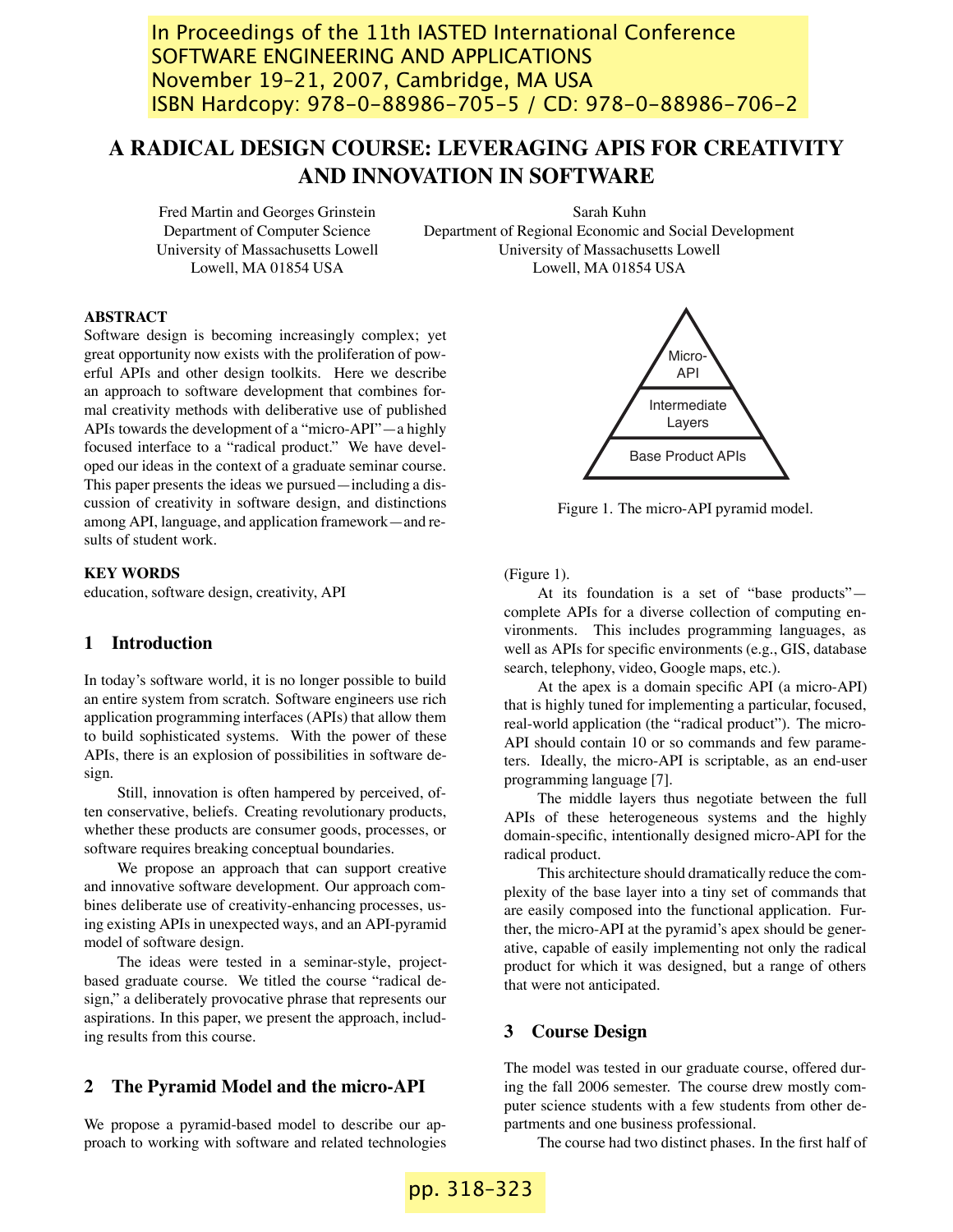In Proceedings of the 11th IASTED International Conference SOFTWARE ENGINEERING AND APPLICATIONS November 19–21, 2007, Cambridge, MA USA ISBN Hardcopy: 978-0-88986-705-5 / CD: 978-0-88986-706-2

# **A RADICAL DESIGN COURSE: LEVERAGING APIS FOR CREATIVITY AND INNOVATION IN SOFTWARE**

Fred Martin and Georges Grinstein Department of Computer Science University of Massachusetts Lowell Lowell, MA 01854 USA

Sarah Kuhn Department of Regional Economic and Social Development University of Massachusetts Lowell Lowell, MA 01854 USA

# **ABSTRACT**

Software design is becoming increasingly complex; yet great opportunity now exists with the proliferation of powerful APIs and other design toolkits. Here we describe an approach to software development that combines formal creativity methods with deliberative use of published APIs towards the development of a "micro-API"—a highly focused interface to a "radical product." We have developed our ideas in the context of a graduate seminar course. This paper presents the ideas we pursued—including a discussion of creativity in software design, and distinctions among API, language, and application framework—and results of student work.

# **KEY WORDS**

education, software design, creativity, API

# **1 Introduction**

In today's software world, it is no longer possible to build an entire system from scratch. Software engineers use rich application programming interfaces (APIs) that allow them to build sophisticated systems. With the power of these APIs, there is an explosion of possibilities in software design.

Still, innovation is often hampered by perceived, often conservative, beliefs. Creating revolutionary products, whether these products are consumer goods, processes, or software requires breaking conceptual boundaries.

We propose an approach that can support creative and innovative software development. Our approach combines deliberate use of creativity-enhancing processes, using existing APIs in unexpected ways, and an API-pyramid model of software design.

The ideas were tested in a seminar-style, projectbased graduate course. We titled the course "radical design," a deliberately provocative phrase that represents our aspirations. In this paper, we present the approach, including results from this course.

### **2 The Pyramid Model and the micro-API**

We propose a pyramid-based model to describe our approach to working with software and related technologies



Figure 1. The micro-API pyramid model.

(Figure 1).

At its foundation is a set of "base products" complete APIs for a diverse collection of computing environments. This includes programming languages, as well as APIs for specific environments (e.g., GIS, database search, telephony, video, Google maps, etc.).

At the apex is a domain specific API (a micro-API) that is highly tuned for implementing a particular, focused, real-world application (the "radical product"). The micro-API should contain 10 or so commands and few parameters. Ideally, the micro-API is scriptable, as an end-user programming language [7].

The middle layers thus negotiate between the full APIs of these heterogeneous systems and the highly domain-specific, intentionally designed micro-API for the radical product.

This architecture should dramatically reduce the complexity of the base layer into a tiny set of commands that are easily composed into the functional application. Further, the micro-API at the pyramid's apex should be generative, capable of easily implementing not only the radical product for which it was designed, but a range of others that were not anticipated.

### **3 Course Design**

The model was tested in our graduate course, offered during the fall 2006 semester. The course drew mostly computer science students with a few students from other departments and one business professional.

The course had two distinct phases. In the first half of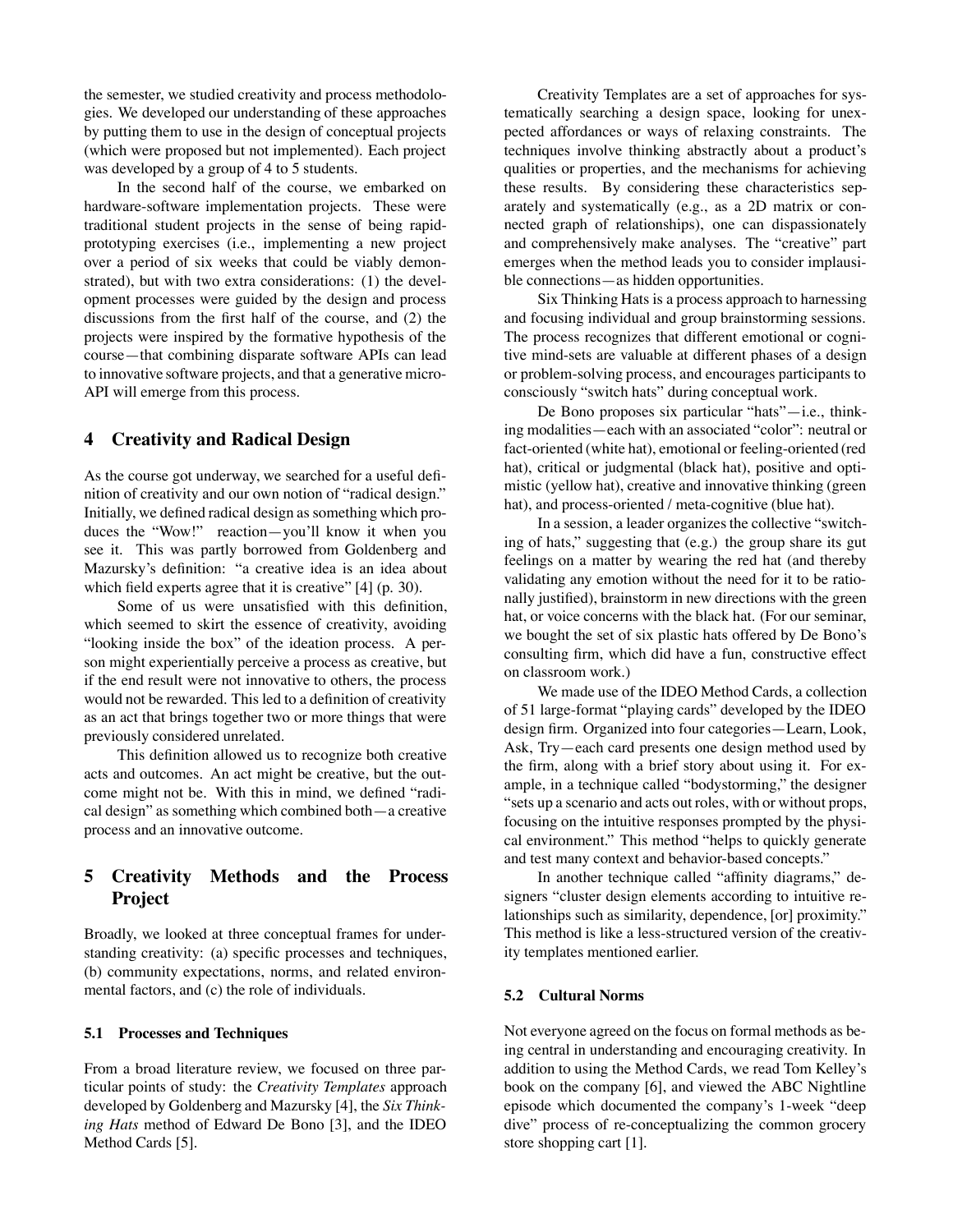the semester, we studied creativity and process methodologies. We developed our understanding of these approaches by putting them to use in the design of conceptual projects (which were proposed but not implemented). Each project was developed by a group of 4 to 5 students.

In the second half of the course, we embarked on hardware-software implementation projects. These were traditional student projects in the sense of being rapidprototyping exercises (i.e., implementing a new project over a period of six weeks that could be viably demonstrated), but with two extra considerations: (1) the development processes were guided by the design and process discussions from the first half of the course, and (2) the projects were inspired by the formative hypothesis of the course—that combining disparate software APIs can lead to innovative software projects, and that a generative micro-API will emerge from this process.

# **4 Creativity and Radical Design**

As the course got underway, we searched for a useful definition of creativity and our own notion of "radical design." Initially, we defined radical design as something which produces the "Wow!" reaction—you'll know it when you see it. This was partly borrowed from Goldenberg and Mazursky's definition: "a creative idea is an idea about which field experts agree that it is creative" [4] (p. 30).

Some of us were unsatisfied with this definition, which seemed to skirt the essence of creativity, avoiding "looking inside the box" of the ideation process. A person might experientially perceive a process as creative, but if the end result were not innovative to others, the process would not be rewarded. This led to a definition of creativity as an act that brings together two or more things that were previously considered unrelated.

This definition allowed us to recognize both creative acts and outcomes. An act might be creative, but the outcome might not be. With this in mind, we defined "radical design" as something which combined both—a creative process and an innovative outcome.

# **5 Creativity Methods and the Process Project**

Broadly, we looked at three conceptual frames for understanding creativity: (a) specific processes and techniques, (b) community expectations, norms, and related environmental factors, and (c) the role of individuals.

#### **5.1 Processes and Techniques**

From a broad literature review, we focused on three particular points of study: the *Creativity Templates* approach developed by Goldenberg and Mazursky [4], the *Six Thinking Hats* method of Edward De Bono [3], and the IDEO Method Cards [5].

Creativity Templates are a set of approaches for systematically searching a design space, looking for unexpected affordances or ways of relaxing constraints. The techniques involve thinking abstractly about a product's qualities or properties, and the mechanisms for achieving these results. By considering these characteristics separately and systematically (e.g., as a 2D matrix or connected graph of relationships), one can dispassionately and comprehensively make analyses. The "creative" part emerges when the method leads you to consider implausible connections—as hidden opportunities.

Six Thinking Hats is a process approach to harnessing and focusing individual and group brainstorming sessions. The process recognizes that different emotional or cognitive mind-sets are valuable at different phases of a design or problem-solving process, and encourages participants to consciously "switch hats" during conceptual work.

De Bono proposes six particular "hats"—i.e., thinking modalities—each with an associated "color": neutral or fact-oriented (white hat), emotional or feeling-oriented (red hat), critical or judgmental (black hat), positive and optimistic (yellow hat), creative and innovative thinking (green hat), and process-oriented / meta-cognitive (blue hat).

In a session, a leader organizes the collective "switching of hats," suggesting that (e.g.) the group share its gut feelings on a matter by wearing the red hat (and thereby validating any emotion without the need for it to be rationally justified), brainstorm in new directions with the green hat, or voice concerns with the black hat. (For our seminar, we bought the set of six plastic hats offered by De Bono's consulting firm, which did have a fun, constructive effect on classroom work.)

We made use of the IDEO Method Cards, a collection of 51 large-format "playing cards" developed by the IDEO design firm. Organized into four categories—Learn, Look, Ask, Try—each card presents one design method used by the firm, along with a brief story about using it. For example, in a technique called "bodystorming," the designer "sets up a scenario and acts out roles, with or without props, focusing on the intuitive responses prompted by the physical environment." This method "helps to quickly generate and test many context and behavior-based concepts."

In another technique called "affinity diagrams," designers "cluster design elements according to intuitive relationships such as similarity, dependence, [or] proximity." This method is like a less-structured version of the creativity templates mentioned earlier.

# **5.2 Cultural Norms**

Not everyone agreed on the focus on formal methods as being central in understanding and encouraging creativity. In addition to using the Method Cards, we read Tom Kelley's book on the company [6], and viewed the ABC Nightline episode which documented the company's 1-week "deep dive" process of re-conceptualizing the common grocery store shopping cart [1].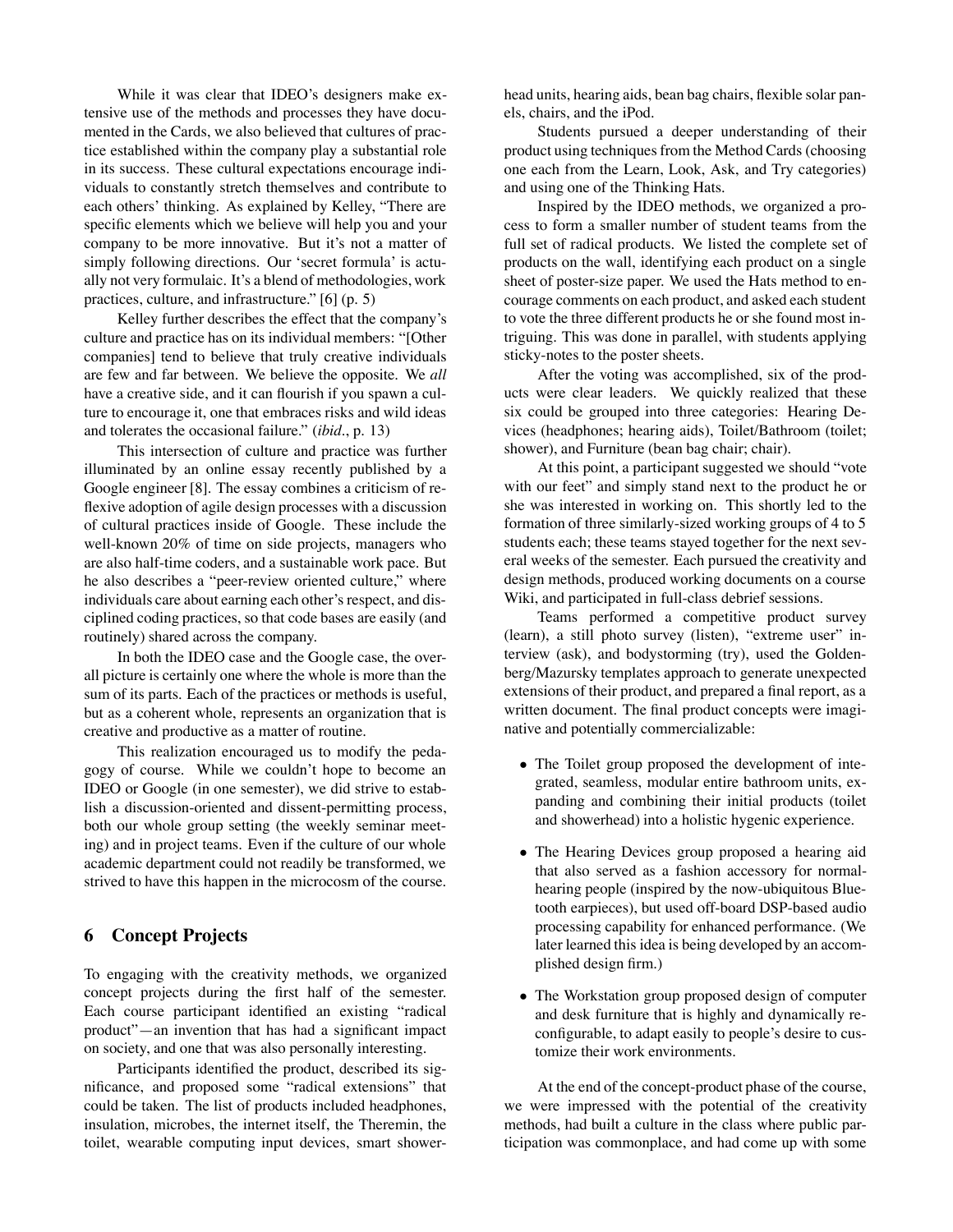While it was clear that IDEO's designers make extensive use of the methods and processes they have documented in the Cards, we also believed that cultures of practice established within the company play a substantial role in its success. These cultural expectations encourage individuals to constantly stretch themselves and contribute to each others' thinking. As explained by Kelley, "There are specific elements which we believe will help you and your company to be more innovative. But it's not a matter of simply following directions. Our 'secret formula' is actually not very formulaic. It's a blend of methodologies, work practices, culture, and infrastructure." [6] (p. 5)

Kelley further describes the effect that the company's culture and practice has on its individual members: "[Other companies] tend to believe that truly creative individuals are few and far between. We believe the opposite. We *all* have a creative side, and it can flourish if you spawn a culture to encourage it, one that embraces risks and wild ideas and tolerates the occasional failure." (*ibid.*, p. 13)

This intersection of culture and practice was further illuminated by an online essay recently published by a Google engineer [8]. The essay combines a criticism of reflexive adoption of agile design processes with a discussion of cultural practices inside of Google. These include the well-known 20% of time on side projects, managers who are also half-time coders, and a sustainable work pace. But he also describes a "peer-review oriented culture," where individuals care about earning each other's respect, and disciplined coding practices, so that code bases are easily (and routinely) shared across the company.

In both the IDEO case and the Google case, the overall picture is certainly one where the whole is more than the sum of its parts. Each of the practices or methods is useful, but as a coherent whole, represents an organization that is creative and productive as a matter of routine.

This realization encouraged us to modify the pedagogy of course. While we couldn't hope to become an IDEO or Google (in one semester), we did strive to establish a discussion-oriented and dissent-permitting process, both our whole group setting (the weekly seminar meeting) and in project teams. Even if the culture of our whole academic department could not readily be transformed, we strived to have this happen in the microcosm of the course.

# **6 Concept Projects**

To engaging with the creativity methods, we organized concept projects during the first half of the semester. Each course participant identified an existing "radical product"—an invention that has had a significant impact on society, and one that was also personally interesting.

Participants identified the product, described its significance, and proposed some "radical extensions" that could be taken. The list of products included headphones, insulation, microbes, the internet itself, the Theremin, the toilet, wearable computing input devices, smart shower-

head units, hearing aids, bean bag chairs, flexible solar panels, chairs, and the iPod.

Students pursued a deeper understanding of their product using techniques from the Method Cards (choosing one each from the Learn, Look, Ask, and Try categories) and using one of the Thinking Hats.

Inspired by the IDEO methods, we organized a process to form a smaller number of student teams from the full set of radical products. We listed the complete set of products on the wall, identifying each product on a single sheet of poster-size paper. We used the Hats method to encourage comments on each product, and asked each student to vote the three different products he or she found most intriguing. This was done in parallel, with students applying sticky-notes to the poster sheets.

After the voting was accomplished, six of the products were clear leaders. We quickly realized that these six could be grouped into three categories: Hearing Devices (headphones; hearing aids), Toilet/Bathroom (toilet; shower), and Furniture (bean bag chair; chair).

At this point, a participant suggested we should "vote with our feet" and simply stand next to the product he or she was interested in working on. This shortly led to the formation of three similarly-sized working groups of 4 to 5 students each; these teams stayed together for the next several weeks of the semester. Each pursued the creativity and design methods, produced working documents on a course Wiki, and participated in full-class debrief sessions.

Teams performed a competitive product survey (learn), a still photo survey (listen), "extreme user" interview (ask), and bodystorming (try), used the Goldenberg/Mazursky templates approach to generate unexpected extensions of their product, and prepared a final report, as a written document. The final product concepts were imaginative and potentially commercializable:

- The Toilet group proposed the development of integrated, seamless, modular entire bathroom units, expanding and combining their initial products (toilet and showerhead) into a holistic hygenic experience.
- The Hearing Devices group proposed a hearing aid that also served as a fashion accessory for normalhearing people (inspired by the now-ubiquitous Bluetooth earpieces), but used off-board DSP-based audio processing capability for enhanced performance. (We later learned this idea is being developed by an accomplished design firm.)
- The Workstation group proposed design of computer and desk furniture that is highly and dynamically reconfigurable, to adapt easily to people's desire to customize their work environments.

At the end of the concept-product phase of the course, we were impressed with the potential of the creativity methods, had built a culture in the class where public participation was commonplace, and had come up with some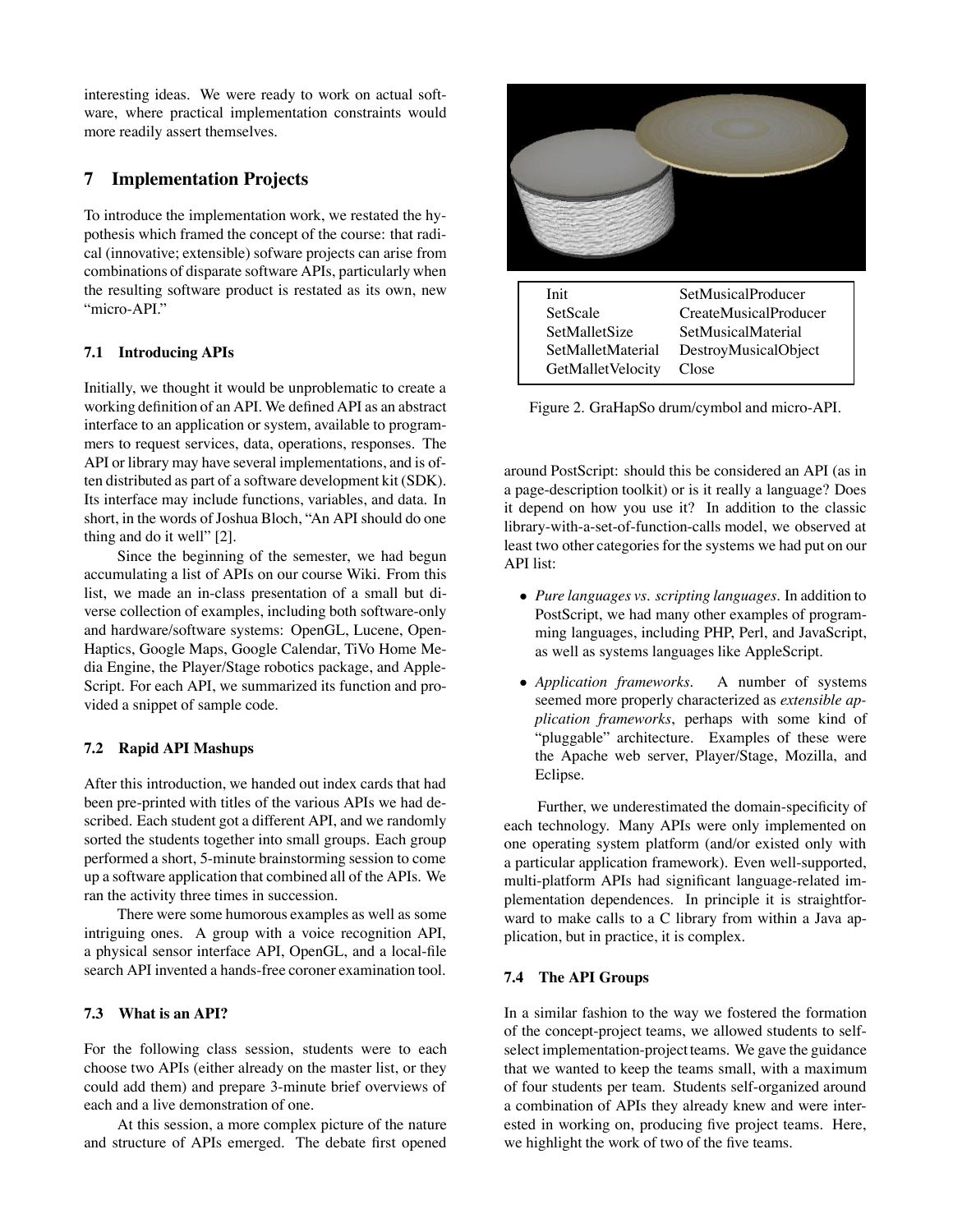interesting ideas. We were ready to work on actual software, where practical implementation constraints would more readily assert themselves.

# **7 Implementation Projects**

To introduce the implementation work, we restated the hypothesis which framed the concept of the course: that radical (innovative; extensible) sofware projects can arise from combinations of disparate software APIs, particularly when the resulting software product is restated as its own, new "micro-API."

# **7.1 Introducing APIs**

Initially, we thought it would be unproblematic to create a working definition of an API. We defined API as an abstract interface to an application or system, available to programmers to request services, data, operations, responses. The API or library may have several implementations, and is often distributed as part of a software development kit (SDK). Its interface may include functions, variables, and data. In short, in the words of Joshua Bloch, "An API should do one thing and do it well" [2].

Since the beginning of the semester, we had begun accumulating a list of APIs on our course Wiki. From this list, we made an in-class presentation of a small but diverse collection of examples, including both software-only and hardware/software systems: OpenGL, Lucene, Open-Haptics, Google Maps, Google Calendar, TiVo Home Media Engine, the Player/Stage robotics package, and Apple-Script. For each API, we summarized its function and provided a snippet of sample code.

# **7.2 Rapid API Mashups**

After this introduction, we handed out index cards that had been pre-printed with titles of the various APIs we had described. Each student got a different API, and we randomly sorted the students together into small groups. Each group performed a short, 5-minute brainstorming session to come up a software application that combined all of the APIs. We ran the activity three times in succession.

There were some humorous examples as well as some intriguing ones. A group with a voice recognition API, a physical sensor interface API, OpenGL, and a local-file search API invented a hands-free coroner examination tool.

### **7.3 What is an API?**

For the following class session, students were to each choose two APIs (either already on the master list, or they could add them) and prepare 3-minute brief overviews of each and a live demonstration of one.

At this session, a more complex picture of the nature and structure of APIs emerged. The debate first opened



Figure 2. GraHapSo drum/cymbol and micro-API.

around PostScript: should this be considered an API (as in a page-description toolkit) or is it really a language? Does it depend on how you use it? In addition to the classic library-with-a-set-of-function-calls model, we observed at least two other categories for the systems we had put on our API list:

- *Pure languages vs. scripting languages.* In addition to PostScript, we had many other examples of programming languages, including PHP, Perl, and JavaScript, as well as systems languages like AppleScript.
- *Application frameworks.* A number of systems seemed more properly characterized as *extensible application frameworks*, perhaps with some kind of "pluggable" architecture. Examples of these were the Apache web server, Player/Stage, Mozilla, and Eclipse.

Further, we underestimated the domain-specificity of each technology. Many APIs were only implemented on one operating system platform (and/or existed only with a particular application framework). Even well-supported, multi-platform APIs had significant language-related implementation dependences. In principle it is straightforward to make calls to a C library from within a Java application, but in practice, it is complex.

# **7.4 The API Groups**

In a similar fashion to the way we fostered the formation of the concept-project teams, we allowed students to selfselect implementation-project teams. We gave the guidance that we wanted to keep the teams small, with a maximum of four students per team. Students self-organized around a combination of APIs they already knew and were interested in working on, producing five project teams. Here, we highlight the work of two of the five teams.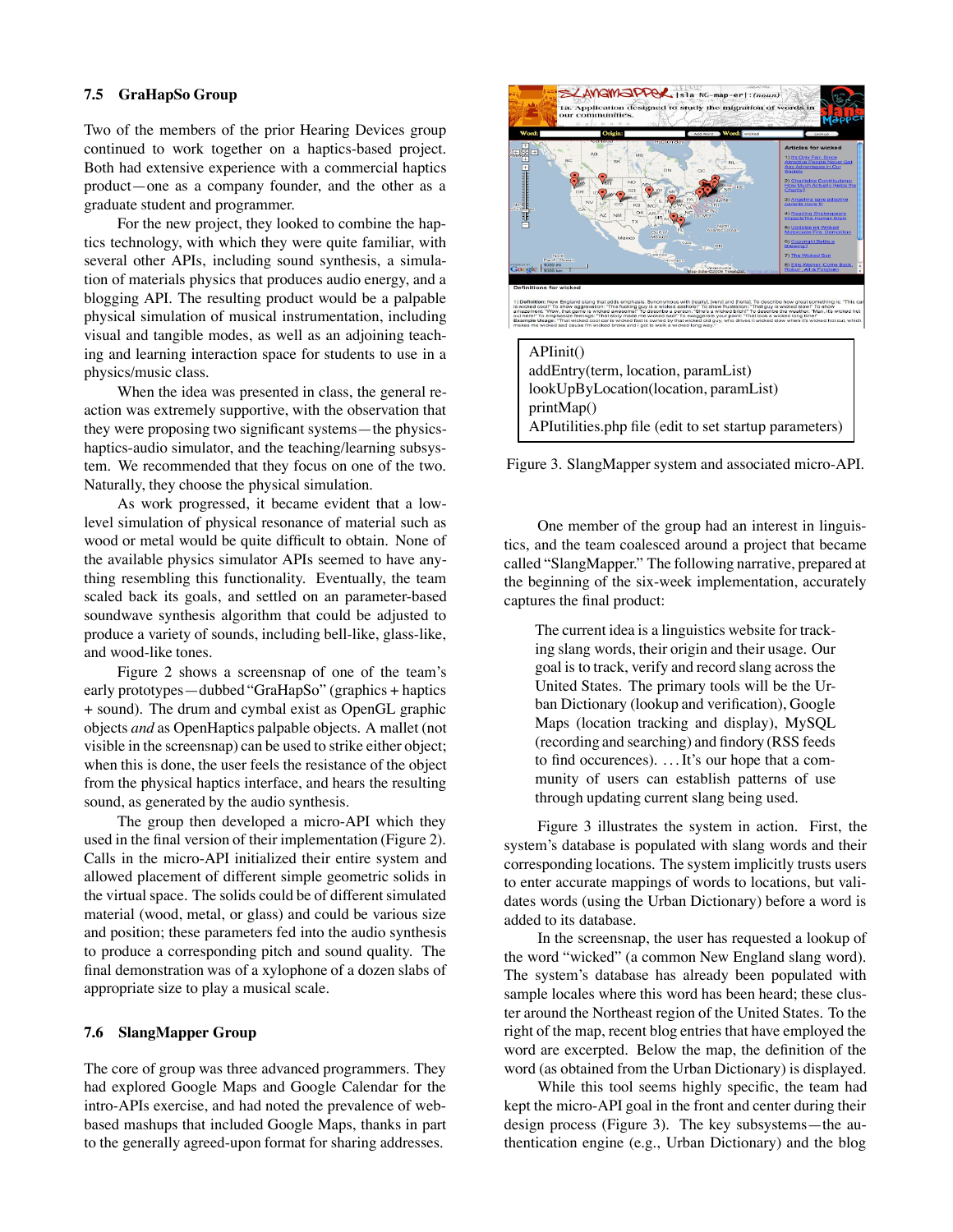### **7.5 GraHapSo Group**

Two of the members of the prior Hearing Devices group continued to work together on a haptics-based project. Both had extensive experience with a commercial haptics product—one as a company founder, and the other as a graduate student and programmer.

For the new project, they looked to combine the haptics technology, with which they were quite familiar, with several other APIs, including sound synthesis, a simulation of materials physics that produces audio energy, and a blogging API. The resulting product would be a palpable physical simulation of musical instrumentation, including visual and tangible modes, as well as an adjoining teaching and learning interaction space for students to use in a physics/music class.

When the idea was presented in class, the general reaction was extremely supportive, with the observation that they were proposing two significant systems—the physicshaptics-audio simulator, and the teaching/learning subsystem. We recommended that they focus on one of the two. Naturally, they choose the physical simulation.

As work progressed, it became evident that a lowlevel simulation of physical resonance of material such as wood or metal would be quite difficult to obtain. None of the available physics simulator APIs seemed to have anything resembling this functionality. Eventually, the team scaled back its goals, and settled on an parameter-based soundwave synthesis algorithm that could be adjusted to produce a variety of sounds, including bell-like, glass-like, and wood-like tones.

Figure 2 shows a screensnap of one of the team's early prototypes—dubbed "GraHapSo" (graphics + haptics + sound). The drum and cymbal exist as OpenGL graphic objects *and* as OpenHaptics palpable objects. A mallet (not visible in the screensnap) can be used to strike either object; when this is done, the user feels the resistance of the object from the physical haptics interface, and hears the resulting sound, as generated by the audio synthesis.

The group then developed a micro-API which they used in the final version of their implementation (Figure 2). Calls in the micro-API initialized their entire system and allowed placement of different simple geometric solids in the virtual space. The solids could be of different simulated material (wood, metal, or glass) and could be various size and position; these parameters fed into the audio synthesis to produce a corresponding pitch and sound quality. The final demonstration was of a xylophone of a dozen slabs of appropriate size to play a musical scale.

#### **7.6 SlangMapper Group**

The core of group was three advanced programmers. They had explored Google Maps and Google Calendar for the intro-APIs exercise, and had noted the prevalence of webbased mashups that included Google Maps, thanks in part to the generally agreed-upon format for sharing addresses.



Figure 3. SlangMapper system and associated micro-API.

One member of the group had an interest in linguistics, and the team coalesced around a project that became called "SlangMapper." The following narrative, prepared at the beginning of the six-week implementation, accurately captures the final product:

The current idea is a linguistics website for tracking slang words, their origin and their usage. Our goal is to track, verify and record slang across the United States. The primary tools will be the Urban Dictionary (lookup and verification), Google Maps (location tracking and display), MySQL (recording and searching) and findory (RSS feeds to find occurences). . . .It's our hope that a community of users can establish patterns of use through updating current slang being used.

Figure 3 illustrates the system in action. First, the system's database is populated with slang words and their corresponding locations. The system implicitly trusts users to enter accurate mappings of words to locations, but validates words (using the Urban Dictionary) before a word is added to its database.

In the screensnap, the user has requested a lookup of the word "wicked" (a common New England slang word). The system's database has already been populated with sample locales where this word has been heard; these cluster around the Northeast region of the United States. To the right of the map, recent blog entries that have employed the word are excerpted. Below the map, the definition of the word (as obtained from the Urban Dictionary) is displayed.

While this tool seems highly specific, the team had kept the micro-API goal in the front and center during their design process (Figure 3). The key subsystems—the authentication engine (e.g., Urban Dictionary) and the blog